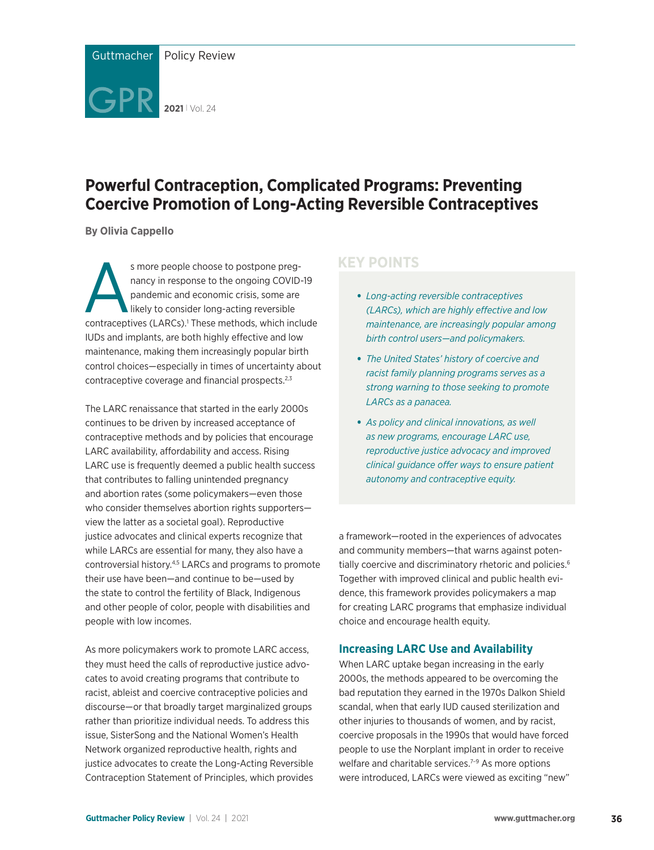

# **Powerful Contraception, Complicated Programs: Preventing Coercive Promotion of Long-Acting Reversible Contraceptives**

**By Olivia Cappello** 

s more people choose to postpone preg-<br>
nancy in response to the ongoing COVID-19<br>
pandemic and economic crisis, some are<br>
likely to consider long-acting reversible<br>
contraceptives (LARCs).<sup>1</sup> These methods, which include nancy in response to the ongoing COVID-19 pandemic and economic crisis, some are likely to consider long-acting reversible IUDs and implants, are both highly effective and low maintenance, making them increasingly popular birth control choices—especially in times of uncertainty about contraceptive coverage and financial prospects.<sup>2,3</sup>

The LARC renaissance that started in the early 2000s continues to be driven by increased acceptance of contraceptive methods and by policies that encourage LARC availability, affordability and access. Rising LARC use is frequently deemed a public health success that contributes to falling unintended pregnancy and abortion rates (some policymakers—even those who consider themselves abortion rights supporters view the latter as a societal goal). Reproductive justice advocates and clinical experts recognize that while LARCs are essential for many, they also have a controversial history.4,5 LARCs and programs to promote their use have been—and continue to be—used by the state to control the fertility of Black, Indigenous and other people of color, people with disabilities and people with low incomes.

As more policymakers work to promote LARC access, they must heed the calls of reproductive justice advocates to avoid creating programs that contribute to racist, ableist and coercive contraceptive policies and discourse—or that broadly target marginalized groups rather than prioritize individual needs. To address this issue, SisterSong and the National Women's Health Network organized reproductive health, rights and justice advocates to create the Long-Acting Reversible Contraception Statement of Principles, which provides

# **KEY POINTS**

- *Long-acting reversible contraceptives (LARCs), which are highly effective and low maintenance, are increasingly popular among birth control users—and policymakers.*
- *The United States' history of coercive and racist family planning programs serves as a strong warning to those seeking to promote LARCs as a panacea.*
- *As policy and clinical innovations, as well as new programs, encourage LARC use, reproductive justice advocacy and improved clinical guidance offer ways to ensure patient autonomy and contraceptive equity.*

a framework—rooted in the experiences of advocates and community members—that warns against potentially coercive and discriminatory rhetoric and policies.<sup>6</sup> Together with improved clinical and public health evidence, this framework provides policymakers a map for creating LARC programs that emphasize individual choice and encourage health equity.

## **Increasing LARC Use and Availability**

When LARC uptake began increasing in the early 2000s, the methods appeared to be overcoming the bad reputation they earned in the 1970s Dalkon Shield scandal, when that early IUD caused sterilization and other injuries to thousands of women, and by racist, coercive proposals in the 1990s that would have forced people to use the Norplant implant in order to receive welfare and charitable services.<sup>7-9</sup> As more options were introduced, LARCs were viewed as exciting "new"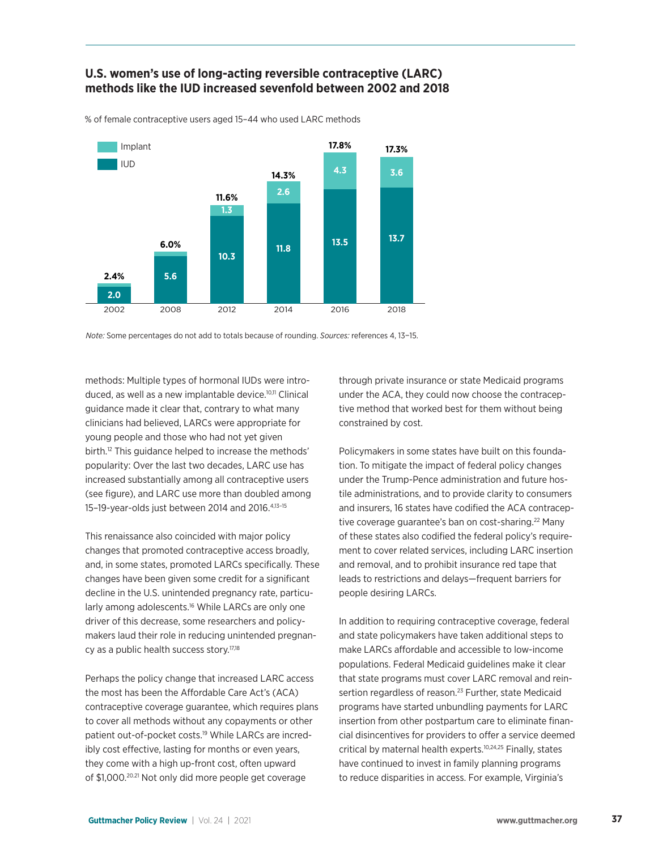



% of female contraceptive users aged 15–44 who used LARC methods

*Note:* Some percentages do not add to totals because of rounding. *Sources:* references 4, 13-15.

methods: Multiple types of hormonal IUDs were introduced, as well as a new implantable device.<sup>10,11</sup> Clinical guidance made it clear that, contrary to what many clinicians had believed, LARCs were appropriate for young people and those who had not yet given birth.<sup>12</sup> This guidance helped to increase the methods' popularity: Over the last two decades, LARC use has increased substantially among all contraceptive users (see figure), and LARC use more than doubled among 15–19-year-olds just between 2014 and 2016.4,13–15

This renaissance also coincided with major policy changes that promoted contraceptive access broadly, and, in some states, promoted LARCs specifically. These changes have been given some credit for a significant decline in the U.S. unintended pregnancy rate, particularly among adolescents.<sup>16</sup> While LARCs are only one driver of this decrease, some researchers and policymakers laud their role in reducing unintended pregnancy as a public health success story.<sup>17,18</sup>

Perhaps the policy change that increased LARC access the most has been the Affordable Care Act's (ACA) contraceptive coverage guarantee, which requires plans to cover all methods without any copayments or other patient out-of-pocket costs.19 While LARCs are incredibly cost effective, lasting for months or even years, they come with a high up-front cost, often upward of \$1,000.<sup>20.21</sup> Not only did more people get coverage

through private insurance or state Medicaid programs under the ACA, they could now choose the contraceptive method that worked best for them without being constrained by cost.

Policymakers in some states have built on this foundation. To mitigate the impact of federal policy changes under the Trump-Pence administration and future hostile administrations, and to provide clarity to consumers and insurers, 16 states have codified the ACA contraceptive coverage guarantee's ban on cost-sharing.<sup>22</sup> Many of these states also codified the federal policy's requirement to cover related services, including LARC insertion and removal, and to prohibit insurance red tape that leads to restrictions and delays—frequent barriers for people desiring LARCs.

In addition to requiring contraceptive coverage, federal and state policymakers have taken additional steps to make LARCs affordable and accessible to low-income populations. Federal Medicaid guidelines make it clear that state programs must cover LARC removal and reinsertion regardless of reason.<sup>23</sup> Further, state Medicaid programs have started unbundling payments for LARC insertion from other postpartum care to eliminate financial disincentives for providers to offer a service deemed critical by maternal health experts.10,24,25 Finally, states have continued to invest in family planning programs to reduce disparities in access. For example, Virginia's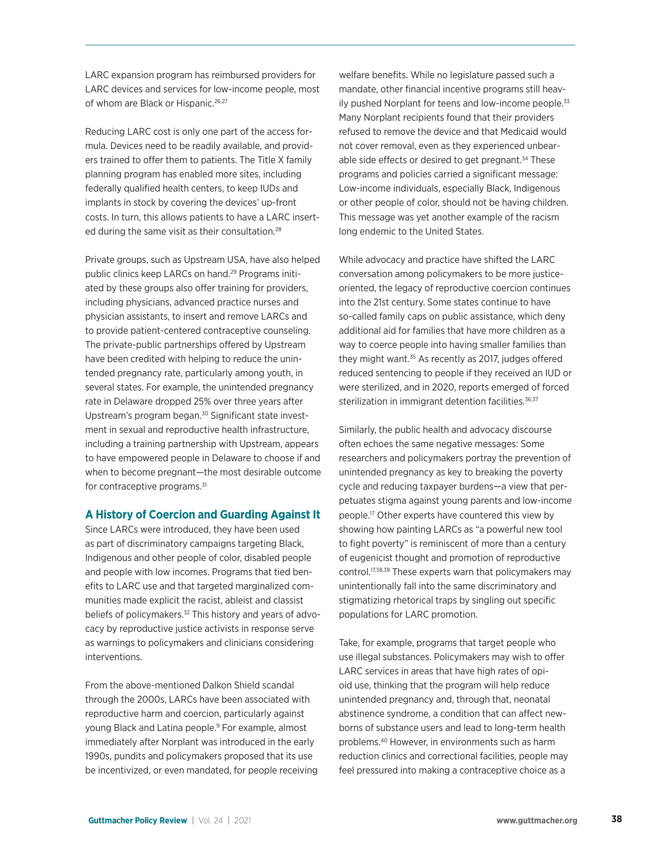LARC expansion program has reimbursed providers for LARC devices and services for low-income people, most of whom are Black or Hispanic.<sup>26,27</sup>

Reducing LARC cost is only one part of the access formula. Devices need to be readily available, and providers trained to offer them to patients. The Title X family planning program has enabled more sites, including federally qualified health centers, to keep IUDs and implants in stock by covering the devices' up-front costs. In turn, this allows patients to have a LARC inserted during the same visit as their consultation.<sup>28</sup>

Private groups, such as Upstream USA, have also helped public clinics keep LARCs on hand.29 Programs initiated by these groups also offer training for providers, including physicians, advanced practice nurses and physician assistants, to insert and remove LARCs and to provide patient-centered contraceptive counseling. The private-public partnerships offered by Upstream have been credited with helping to reduce the unintended pregnancy rate, particularly among youth, in several states. For example, the unintended pregnancy rate in Delaware dropped 25% over three years after Upstream's program began.<sup>30</sup> Significant state investment in sexual and reproductive health infrastructure, including a training partnership with Upstream, appears to have empowered people in Delaware to choose if and when to become pregnant—the most desirable outcome for contraceptive programs.<sup>31</sup>

### **A History of Coercion and Guarding Against It**

Since LARCs were introduced, they have been used as part of discriminatory campaigns targeting Black, Indigenous and other people of color, disabled people and people with low incomes. Programs that tied benefits to LARC use and that targeted marginalized communities made explicit the racist, ableist and classist beliefs of policymakers.<sup>32</sup> This history and years of advocacy by reproductive justice activists in response serve as warnings to policymakers and clinicians considering interventions.

From the above-mentioned Dalkon Shield scandal through the 2000s, LARCs have been associated with reproductive harm and coercion, particularly against young Black and Latina people.<sup>9</sup> For example, almost immediately after Norplant was introduced in the early 1990s, pundits and policymakers proposed that its use be incentivized, or even mandated, for people receiving welfare benefits. While no legislature passed such a mandate, other financial incentive programs still heavily pushed Norplant for teens and low-income people.<sup>33</sup> Many Norplant recipients found that their providers refused to remove the device and that Medicaid would not cover removal, even as they experienced unbearable side effects or desired to get pregnant.<sup>34</sup> These programs and policies carried a significant message: Low-income individuals, especially Black, Indigenous or other people of color, should not be having children. This message was yet another example of the racism long endemic to the United States.

While advocacy and practice have shifted the LARC conversation among policymakers to be more justiceoriented, the legacy of reproductive coercion continues into the 21st century. Some states continue to have so-called family caps on public assistance, which deny additional aid for families that have more children as a way to coerce people into having smaller families than they might want.35 As recently as 2017, judges offered reduced sentencing to people if they received an IUD or were sterilized, and in 2020, reports emerged of forced sterilization in immigrant detention facilities.<sup>36,37</sup>

Similarly, the public health and advocacy discourse often echoes the same negative messages: Some researchers and policymakers portray the prevention of unintended pregnancy as key to breaking the poverty cycle and reducing taxpayer burdens—a view that perpetuates stigma against young parents and low-income people.17 Other experts have countered this view by showing how painting LARCs as "a powerful new tool to fight poverty" is reminiscent of more than a century of eugenicist thought and promotion of reproductive control.17,38,39 These experts warn that policymakers may unintentionally fall into the same discriminatory and stigmatizing rhetorical traps by singling out specific populations for LARC promotion.

Take, for example, programs that target people who use illegal substances. Policymakers may wish to offer LARC services in areas that have high rates of opioid use, thinking that the program will help reduce unintended pregnancy and, through that, neonatal abstinence syndrome, a condition that can affect newborns of substance users and lead to long-term health problems.40 However, in environments such as harm reduction clinics and correctional facilities, people may feel pressured into making a contraceptive choice as a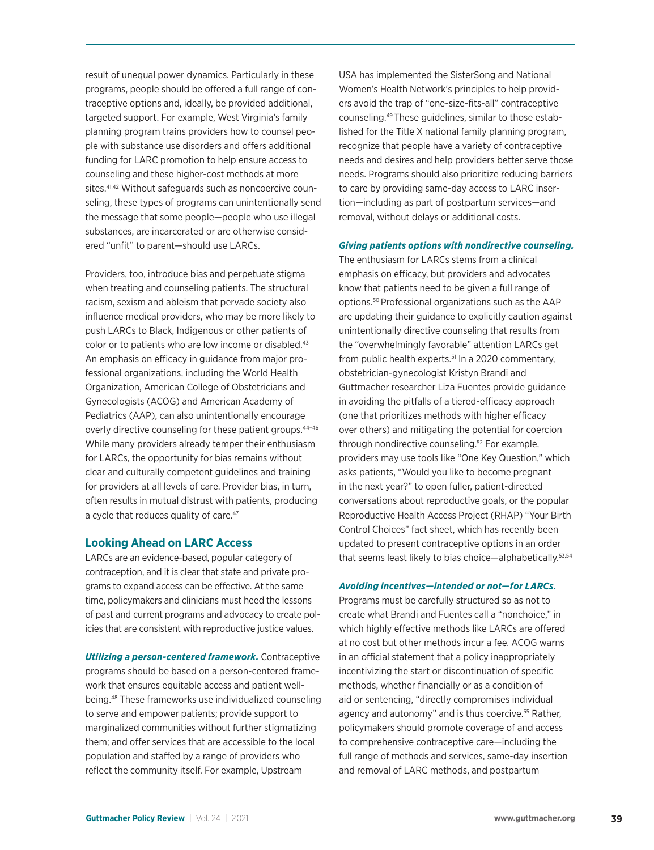result of unequal power dynamics. Particularly in these programs, people should be offered a full range of contraceptive options and, ideally, be provided additional, targeted support. For example, West Virginia's family planning program trains providers how to counsel people with substance use disorders and offers additional funding for LARC promotion to help ensure access to counseling and these higher-cost methods at more sites.<sup>41,42</sup> Without safeguards such as noncoercive counseling, these types of programs can unintentionally send the message that some people—people who use illegal substances, are incarcerated or are otherwise considered "unfit" to parent—should use LARCs.

Providers, too, introduce bias and perpetuate stigma when treating and counseling patients. The structural racism, sexism and ableism that pervade society also influence medical providers, who may be more likely to push LARCs to Black, Indigenous or other patients of color or to patients who are low income or disabled.43 An emphasis on efficacy in guidance from major professional organizations, including the World Health Organization, American College of Obstetricians and Gynecologists (ACOG) and American Academy of Pediatrics (AAP), can also unintentionally encourage overly directive counseling for these patient groups.<sup>44-46</sup> While many providers already temper their enthusiasm for LARCs, the opportunity for bias remains without clear and culturally competent guidelines and training for providers at all levels of care. Provider bias, in turn, often results in mutual distrust with patients, producing a cycle that reduces quality of care.<sup>47</sup>

### **Looking Ahead on LARC Access**

LARCs are an evidence-based, popular category of contraception, and it is clear that state and private programs to expand access can be effective. At the same time, policymakers and clinicians must heed the lessons of past and current programs and advocacy to create policies that are consistent with reproductive justice values.

*Utilizing a person-centered framework.* Contraceptive programs should be based on a person-centered framework that ensures equitable access and patient wellbeing.48 These frameworks use individualized counseling to serve and empower patients; provide support to marginalized communities without further stigmatizing them; and offer services that are accessible to the local population and staffed by a range of providers who reflect the community itself. For example, Upstream

USA has implemented the SisterSong and National Women's Health Network's principles to help providers avoid the trap of "one-size-fits-all" contraceptive counseling.49 These guidelines, similar to those established for the Title X national family planning program, recognize that people have a variety of contraceptive needs and desires and help providers better serve those needs. Programs should also prioritize reducing barriers to care by providing same-day access to LARC insertion—including as part of postpartum services—and removal, without delays or additional costs.

#### *Giving patients options with nondirective counseling.*

The enthusiasm for LARCs stems from a clinical emphasis on efficacy, but providers and advocates know that patients need to be given a full range of options.50 Professional organizations such as the AAP are updating their guidance to explicitly caution against unintentionally directive counseling that results from the "overwhelmingly favorable" attention LARCs get from public health experts.<sup>51</sup> In a 2020 commentary, obstetrician-gynecologist Kristyn Brandi and Guttmacher researcher Liza Fuentes provide guidance in avoiding the pitfalls of a tiered-efficacy approach (one that prioritizes methods with higher efficacy over others) and mitigating the potential for coercion through nondirective counseling.<sup>52</sup> For example, providers may use tools like "One Key Question," which asks patients, "Would you like to become pregnant in the next year?" to open fuller, patient-directed conversations about reproductive goals, or the popular Reproductive Health Access Project (RHAP) "Your Birth Control Choices" fact sheet, which has recently been updated to present contraceptive options in an order that seems least likely to bias choice-alphabetically.<sup>53,54</sup>

#### *Avoiding incentives—intended or not—for LARCs.*

Programs must be carefully structured so as not to create what Brandi and Fuentes call a "nonchoice," in which highly effective methods like LARCs are offered at no cost but other methods incur a fee. ACOG warns in an official statement that a policy inappropriately incentivizing the start or discontinuation of specific methods, whether financially or as a condition of aid or sentencing, "directly compromises individual agency and autonomy" and is thus coercive.<sup>55</sup> Rather, policymakers should promote coverage of and access to comprehensive contraceptive care—including the full range of methods and services, same-day insertion and removal of LARC methods, and postpartum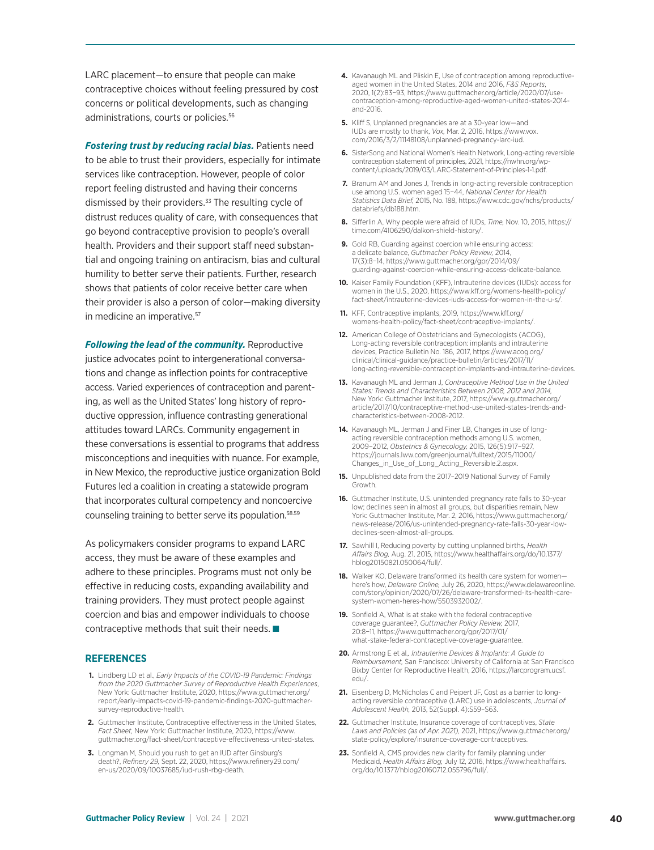LARC placement—to ensure that people can make contraceptive choices without feeling pressured by cost concerns or political developments, such as changing administrations, courts or policies. 56

*Fostering trust by reducing racial bias.* Patients need to be able to trust their providers, especially for intimate services like contraception. However, people of color report feeling distrusted and having their concerns dismissed by their providers.<sup>33</sup> The resulting cycle of distrust reduces quality of care, with consequences that go beyond contraceptive provision to people's overall health. Providers and their support staff need substantial and ongoing training on antiracism, bias and cultural humility to better serve their patients. Further, research shows that patients of color receive better care when their provider is also a person of color—making diversity in medicine an imperative.<sup>57</sup>

*Following the lead of the community.* Reproductive justice advocates point to intergenerational conversations and change as inflection points for contraceptive access. Varied experiences of contraception and parenting, as well as the United States' long history of reproductive oppression, influence contrasting generational attitudes toward LARCs. Community engagement in these conversations is essential to programs that address misconceptions and inequities with nuance. For example, in New Mexico, the reproductive justice organization Bold Futures led a coalition in creating a statewide program that incorporates cultural competency and noncoercive counseling training to better serve its population.58.59

As policymakers consider programs to expand LARC access, they must be aware of these examples and adhere to these principles. Programs must not only be effective in reducing costs, expanding availability and training providers. They must protect people against coercion and bias and empower individuals to choose contraceptive methods that suit their needs.  $\blacksquare$ 

#### **REFERENCES**

- **1.** Lindberg LD et al., *Early Impacts of the COVID-19 Pandemic: Findings from the 2020 Guttmacher Survey of Reproductive Health Experiences*, New York: Guttmacher Institute, 2020, https://www.guttmacher.org/ report/early-impacts-covid-19-pandemic-findings-2020-guttmachersurvey-reproductive-health.
- **2.** Guttmacher Institute, Contraceptive effectiveness in the United States, *Fact Sheet,* New York: Guttmacher Institute, 2020, https://www. guttmacher.org/fact-sheet/contraceptive-effectiveness-united-states.
- **3.** Longman M, Should you rush to get an IUD after Ginsburg's death?, *Refinery 29,* Sept. 22, 2020, https://www.refinery29.com/ en-us/2020/09/10037685/iud-rush-rbg-death.
- **4.** Kavanaugh ML and Pliskin E, Use of contraception among reproductiveaged women in the United States, 2014 and 2016, F&S Report 2020, 1(2):83−93, https://www.guttmacher.org/article/2020/07/usecontraception-among-reproductive-aged-women-united-states-2014 and-2016.
- **5.** Kliff S, Unplanned pregnancies are at a 30-year low—and IUDs are mostly to thank, *Vox,* Mar. 2, 2016, https://www.vox. com/2016/3/2/11148108/unplanned-pregnancy-larc-iud.
- **6.** SisterSong and National Women's Health Network, Long-acting reversible contraception statement of principles, 2021, https://nwhn.org/wpcontent/uploads/2019/03/LARC-Statement-of-Principles-1-1.pdf.
- **7.** Branum AM and Jones J, Trends in long-acting reversible contraception use among U.S. women aged 15−44, *National Center for Health Statistics Data Brief,* 2015, No. 188, https://www.cdc.gov/nchs/products/ databriefs/db188.htm.
- **8.** Sifferlin A, Why people were afraid of IUDs, *Time,* Nov. 10, 2015, https:// time.com/4106290/dalkon-shield-history/.
- **9.** Gold RB, Guarding against coercion while ensuring access: a delicate balance, *Guttmacher Policy Review,* 2014, 17(3):8−14, https://www.guttmacher.org/gpr/2014/09/ guarding-against-coercion-while-ensuring-access-delicate-balance.
- **10.** Kaiser Family Foundation (KFF), Intrauterine devices (IUDs): access for women in the U.S., 2020, https://www.kff.org/womens-health-policy/ fact-sheet/intrauterine-devices-iuds-access-for-women-in-the-u-s/.
- **11.** KFF, Contraceptive implants, 2019, https://www.kff.org/ womens-health-policy/fact-sheet/contraceptive-implants/.
- **12.** American College of Obstetricians and Gynecologists (ACOG), Long-acting reversible contraception: implants and intrauterine devices, Practice Bulletin No. 186, 2017, https://www.acog.org/ clinical/clinical-guidance/practice-bulletin/articles/2017/11/ long-acting-reversible-contraception-implants-and-intrauterine-devices.
- **13.** Kavanaugh ML and Jerman J, *Contraceptive Method Use in the United States: Trends and Characteristics Between 2008, 2012 and 2014,* New York: Guttmacher Institute, 2017, https://www.guttmacher.org/ article/2017/10/contraceptive-method-use-united-states-trends-andcharacteristics-between-2008-2012.
- **14.** Kavanaugh ML, Jerman J and Finer LB, Changes in use of longacting reversible contraception methods among U.S. women, 2009−2012, *Obstetrics & Gynecology,* 2015, 126(5):917−927, https://journals.lww.com/greenjournal/fulltext/2015/11000/ Changes\_in\_Use\_of\_Long\_Acting\_Reversible.2.aspx.
- **15.** Unpublished data from the 2017–2019 National Survey of Family Growth.
- **16.** Guttmacher Institute, U.S. unintended pregnancy rate falls to 30-year low; declines seen in almost all groups, but disparities remain, New York: Guttmacher Institute, Mar. 2, 2016, https://www.guttmacher.org/ news-release/2016/us-unintended-pregnancy-rate-falls-30-year-lowdeclines-seen-almost-all-groups.
- **17.** Sawhill I, Reducing poverty by cutting unplanned births, *Health Affairs Blog,* Aug. 21, 2015, https://www.healthaffairs.org/do/10.1377/ hblog20150821.050064/full/.
- 18. Walker KO, Delaware transformed its health care system for womenhere's how, *Delaware Online,* July 26, 2020, https://www.delawareonline. com/story/opinion/2020/07/26/delaware-transformed-its-health-caresystem-women-heres-how/5503932002/.
- **19.** Sonfield A, What is at stake with the federal contraceptive coverage guarantee?, *Guttmacher Policy Review,* 2017, 20:8−11, https://www.guttmacher.org/gpr/2017/01/ what-stake-federal-contraceptive-coverage-guarantee.
- **20.** Armstrong E et al*., Intrauterine Devices & Implants: A Guide to Reimbursement,* San Francisco: University of California at San Francisco Bixby Center for Reproductive Health, 2016, https://larcprogram.ucsf. edu/.
- **21.** Eisenberg D, McNicholas C and Peipert JF, Cost as a barrier to longacting reversible contraceptive (LARC) use in adolescents, *Journal of Adolescent Health,* 2013, 52(Suppl. 4):S59–S63.
- **22.** Guttmacher Institute, Insurance coverage of contraceptives, *State Laws and Policies (as of Apr. 2021),* 2021, https://www.guttmacher.org/ state-policy/explore/insurance-coverage-contraceptives.
- **23.** Sonfield A, CMS provides new clarity for family planning under Medicaid, *Health Affairs Blog,* July 12, 2016, https://www.healthaffairs. org/do/10.1377/hblog20160712.055796/full/.